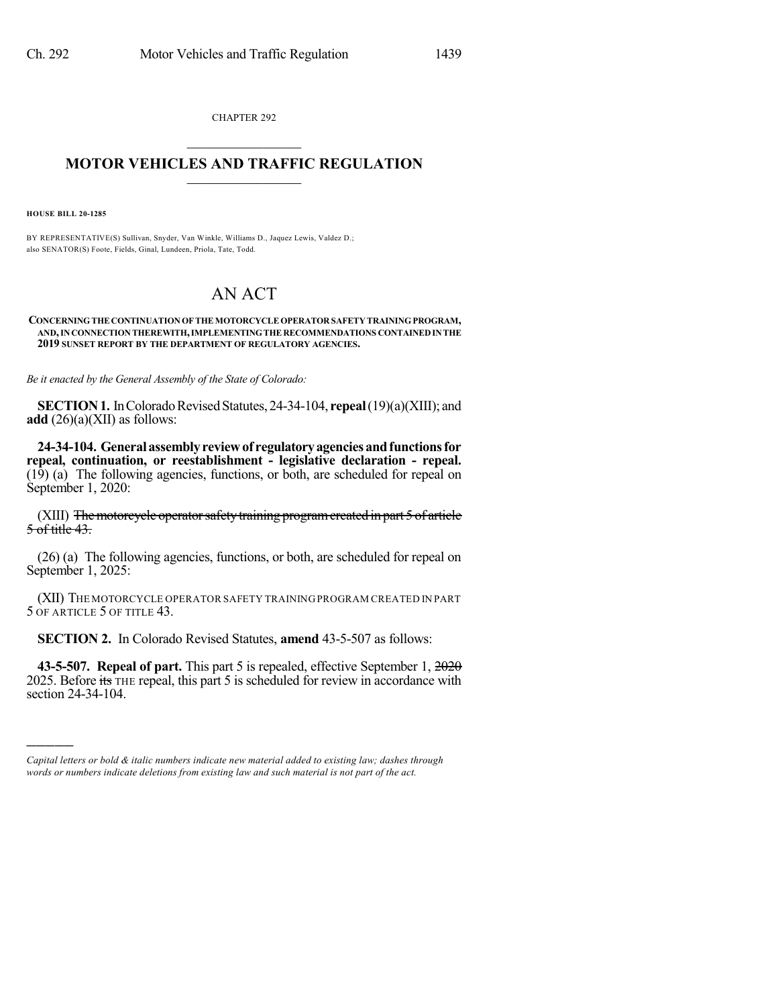CHAPTER 292  $\mathcal{L}_\text{max}$  . The set of the set of the set of the set of the set of the set of the set of the set of the set of the set of the set of the set of the set of the set of the set of the set of the set of the set of the set

## **MOTOR VEHICLES AND TRAFFIC REGULATION**  $\_$   $\_$   $\_$   $\_$   $\_$   $\_$   $\_$   $\_$   $\_$   $\_$

**HOUSE BILL 20-1285**

)))))

BY REPRESENTATIVE(S) Sullivan, Snyder, Van Winkle, Williams D., Jaquez Lewis, Valdez D.; also SENATOR(S) Foote, Fields, Ginal, Lundeen, Priola, Tate, Todd.

## AN ACT

## **CONCERNINGTHECONTINUATIONOFTHEMOTORCYCLEOPERATOR SAFETY TRAININGPROGRAM, AND,INCONNECTIONTHEREWITH,IMPLEMENTINGTHERECOMMENDATIONS CONTAINEDINTHE 2019 SUNSET REPORT BY THE DEPARTMENT OF REGULATORY AGENCIES.**

*Be it enacted by the General Assembly of the State of Colorado:*

**SECTION 1.** In Colorado Revised Statutes, 24-34-104, **repeal** (19)(a)(XIII); and **add** (26)(a)(XII) as follows:

**24-34-104. Generalassemblyreviewof regulatoryagenciesandfunctionsfor repeal, continuation, or reestablishment - legislative declaration - repeal.** (19) (a) The following agencies, functions, or both, are scheduled for repeal on September 1, 2020:

(XIII) The motorcycle operator safety training program created in part 5 of article 5 of title 43.

(26) (a) The following agencies, functions, or both, are scheduled for repeal on September 1, 2025:

(XII) THE MOTORCYCLE OPERATOR SAFETY TRAININGPROGRAM CREATED IN PART 5 OF ARTICLE 5 OF TITLE 43.

**SECTION 2.** In Colorado Revised Statutes, **amend** 43-5-507 as follows:

**43-5-507. Repeal of part.** This part 5 is repealed, effective September 1, 2020 2025. Before its THE repeal, this part 5 is scheduled for review in accordance with section 24-34-104.

*Capital letters or bold & italic numbers indicate new material added to existing law; dashes through words or numbers indicate deletions from existing law and such material is not part of the act.*